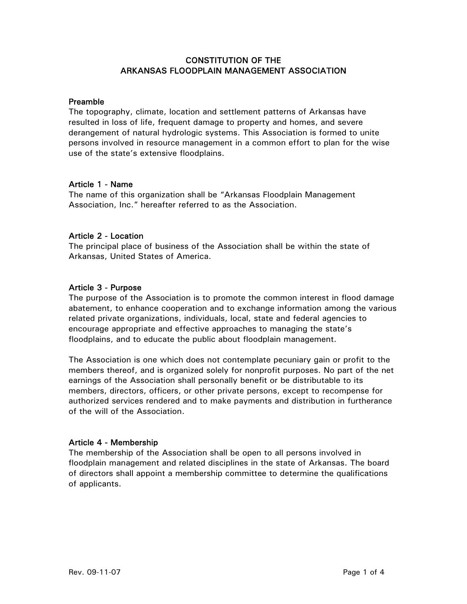# CONSTITUTION OF THE ARKANSAS FLOODPLAIN MANAGEMENT ASSOCIATION

### Preamble

The topography, climate, location and settlement patterns of Arkansas have resulted in loss of life, frequent damage to property and homes, and severe derangement of natural hydrologic systems. This Association is formed to unite persons involved in resource management in a common effort to plan for the wise use of the state's extensive floodplains.

## Article 1 - Name

The name of this organization shall be "Arkansas Floodplain Management Association, Inc." hereafter referred to as the Association.

## Article 2 - Location

The principal place of business of the Association shall be within the state of Arkansas, United States of America.

## Article 3 - Purpose

The purpose of the Association is to promote the common interest in flood damage abatement, to enhance cooperation and to exchange information among the various related private organizations, individuals, local, state and federal agencies to encourage appropriate and effective approaches to managing the state's floodplains, and to educate the public about floodplain management.

The Association is one which does not contemplate pecuniary gain or profit to the members thereof, and is organized solely for nonprofit purposes. No part of the net earnings of the Association shall personally benefit or be distributable to its members, directors, officers, or other private persons, except to recompense for authorized services rendered and to make payments and distribution in furtherance of the will of the Association.

### Article 4 - Membership

The membership of the Association shall be open to all persons involved in floodplain management and related disciplines in the state of Arkansas. The board of directors shall appoint a membership committee to determine the qualifications of applicants.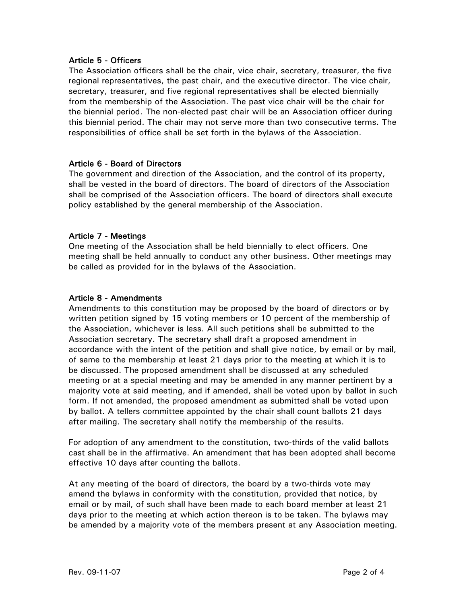### Article 5 - Officers

The Association officers shall be the chair, vice chair, secretary, treasurer, the five regional representatives, the past chair, and the executive director. The vice chair, secretary, treasurer, and five regional representatives shall be elected biennially from the membership of the Association. The past vice chair will be the chair for the biennial period. The non-elected past chair will be an Association officer during this biennial period. The chair may not serve more than two consecutive terms. The responsibilities of office shall be set forth in the bylaws of the Association.

#### Article 6 - Board of Directors

The government and direction of the Association, and the control of its property, shall be vested in the board of directors. The board of directors of the Association shall be comprised of the Association officers. The board of directors shall execute policy established by the general membership of the Association.

### Article 7 - Meetings

One meeting of the Association shall be held biennially to elect officers. One meeting shall be held annually to conduct any other business. Other meetings may be called as provided for in the bylaws of the Association.

#### Article 8 - Amendments

Amendments to this constitution may be proposed by the board of directors or by written petition signed by 15 voting members or 10 percent of the membership of the Association, whichever is less. All such petitions shall be submitted to the Association secretary. The secretary shall draft a proposed amendment in accordance with the intent of the petition and shall give notice, by email or by mail, of same to the membership at least 21 days prior to the meeting at which it is to be discussed. The proposed amendment shall be discussed at any scheduled meeting or at a special meeting and may be amended in any manner pertinent by a majority vote at said meeting, and if amended, shall be voted upon by ballot in such form. If not amended, the proposed amendment as submitted shall be voted upon by ballot. A tellers committee appointed by the chair shall count ballots 21 days after mailing. The secretary shall notify the membership of the results.

For adoption of any amendment to the constitution, two-thirds of the valid ballots cast shall be in the affirmative. An amendment that has been adopted shall become effective 10 days after counting the ballots.

At any meeting of the board of directors, the board by a two-thirds vote may amend the bylaws in conformity with the constitution, provided that notice, by email or by mail, of such shall have been made to each board member at least 21 days prior to the meeting at which action thereon is to be taken. The bylaws may be amended by a majority vote of the members present at any Association meeting.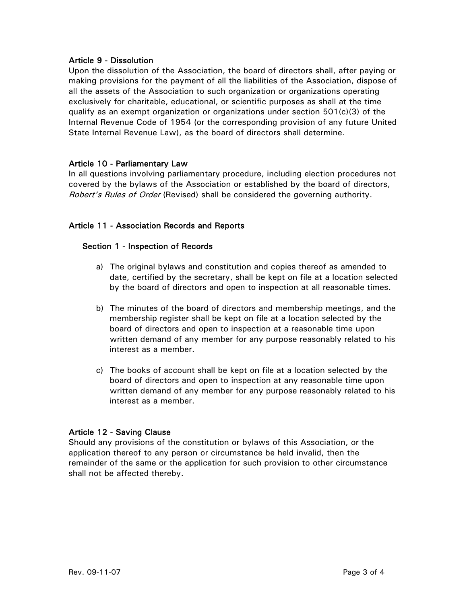### Article 9 - Dissolution

Upon the dissolution of the Association, the board of directors shall, after paying or making provisions for the payment of all the liabilities of the Association, dispose of all the assets of the Association to such organization or organizations operating exclusively for charitable, educational, or scientific purposes as shall at the time qualify as an exempt organization or organizations under section 501(c)(3) of the Internal Revenue Code of 1954 (or the corresponding provision of any future United State Internal Revenue Law), as the board of directors shall determine.

## Article 10 - Parliamentary Law

In all questions involving parliamentary procedure, including election procedures not covered by the bylaws of the Association or established by the board of directors, Robert's Rules of Order (Revised) shall be considered the governing authority.

# Article 11 - Association Records and Reports

### Section 1 - Inspection of Records

- a) The original bylaws and constitution and copies thereof as amended to date, certified by the secretary, shall be kept on file at a location selected by the board of directors and open to inspection at all reasonable times.
- b) The minutes of the board of directors and membership meetings, and the membership register shall be kept on file at a location selected by the board of directors and open to inspection at a reasonable time upon written demand of any member for any purpose reasonably related to his interest as a member.
- c) The books of account shall be kept on file at a location selected by the board of directors and open to inspection at any reasonable time upon written demand of any member for any purpose reasonably related to his interest as a member.

# Article 12 - Saving Clause

Should any provisions of the constitution or bylaws of this Association, or the application thereof to any person or circumstance be held invalid, then the remainder of the same or the application for such provision to other circumstance shall not be affected thereby.